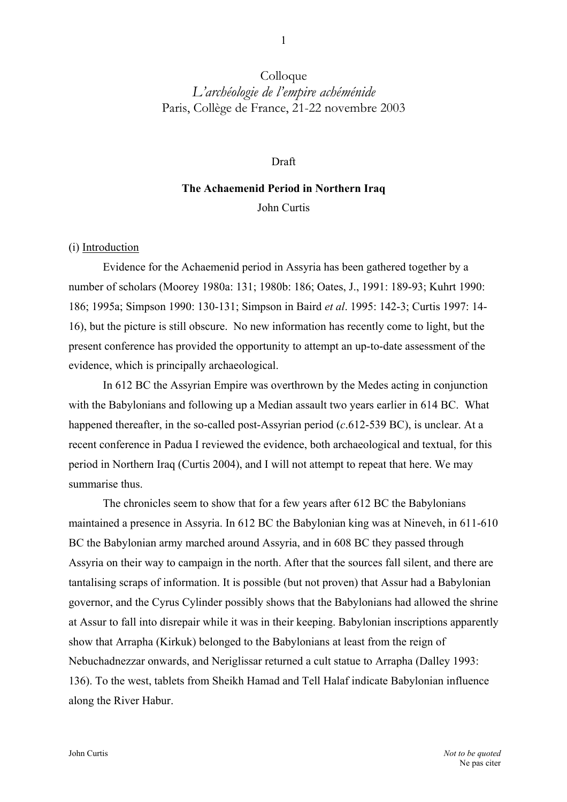## Colloque *L'archéologie de l'empire achéménide*  Paris, Collège de France, 21-22 novembre 2003

#### Draft

# **The Achaemenid Period in Northern Iraq**  John Curtis

### (i) Introduction

Evidence for the Achaemenid period in Assyria has been gathered together by a number of scholars (Moorey 1980a: 131; 1980b: 186; Oates, J., 1991: 189-93; Kuhrt 1990: 186; 1995a; Simpson 1990: 130-131; Simpson in Baird *et al*. 1995: 142-3; Curtis 1997: 14- 16), but the picture is still obscure. No new information has recently come to light, but the present conference has provided the opportunity to attempt an up-to-date assessment of the evidence, which is principally archaeological.

In 612 BC the Assyrian Empire was overthrown by the Medes acting in conjunction with the Babylonians and following up a Median assault two years earlier in 614 BC. What happened thereafter, in the so-called post-Assyrian period (*c*.612-539 BC), is unclear. At a recent conference in Padua I reviewed the evidence, both archaeological and textual, for this period in Northern Iraq (Curtis 2004), and I will not attempt to repeat that here. We may summarise thus.

The chronicles seem to show that for a few years after 612 BC the Babylonians maintained a presence in Assyria. In 612 BC the Babylonian king was at Nineveh, in 611-610 BC the Babylonian army marched around Assyria, and in 608 BC they passed through Assyria on their way to campaign in the north. After that the sources fall silent, and there are tantalising scraps of information. It is possible (but not proven) that Assur had a Babylonian governor, and the Cyrus Cylinder possibly shows that the Babylonians had allowed the shrine at Assur to fall into disrepair while it was in their keeping. Babylonian inscriptions apparently show that Arrapha (Kirkuk) belonged to the Babylonians at least from the reign of Nebuchadnezzar onwards, and Neriglissar returned a cult statue to Arrapha (Dalley 1993: 136). To the west, tablets from Sheikh Hamad and Tell Halaf indicate Babylonian influence along the River Habur.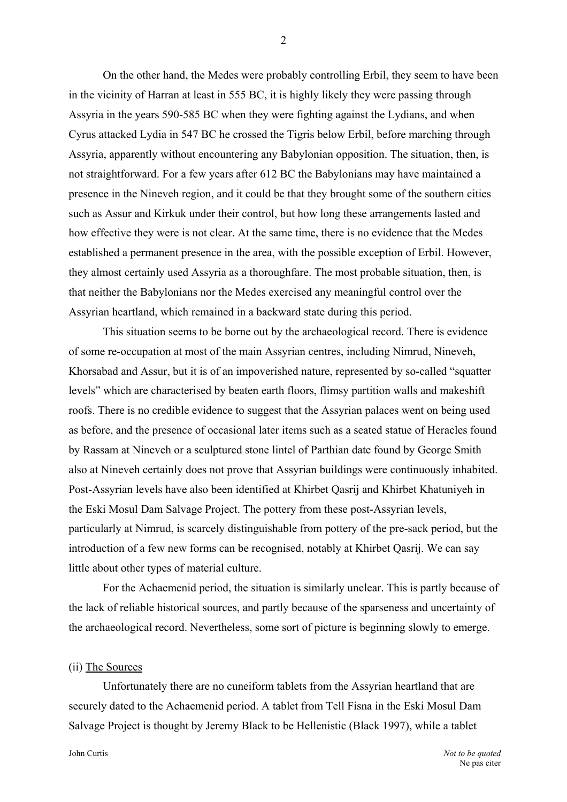On the other hand, the Medes were probably controlling Erbil, they seem to have been in the vicinity of Harran at least in 555 BC, it is highly likely they were passing through Assyria in the years 590-585 BC when they were fighting against the Lydians, and when Cyrus attacked Lydia in 547 BC he crossed the Tigris below Erbil, before marching through Assyria, apparently without encountering any Babylonian opposition. The situation, then, is not straightforward. For a few years after 612 BC the Babylonians may have maintained a presence in the Nineveh region, and it could be that they brought some of the southern cities such as Assur and Kirkuk under their control, but how long these arrangements lasted and how effective they were is not clear. At the same time, there is no evidence that the Medes established a permanent presence in the area, with the possible exception of Erbil. However, they almost certainly used Assyria as a thoroughfare. The most probable situation, then, is that neither the Babylonians nor the Medes exercised any meaningful control over the Assyrian heartland, which remained in a backward state during this period.

This situation seems to be borne out by the archaeological record. There is evidence of some re-occupation at most of the main Assyrian centres, including Nimrud, Nineveh, Khorsabad and Assur, but it is of an impoverished nature, represented by so-called "squatter levels" which are characterised by beaten earth floors, flimsy partition walls and makeshift roofs. There is no credible evidence to suggest that the Assyrian palaces went on being used as before, and the presence of occasional later items such as a seated statue of Heracles found by Rassam at Nineveh or a sculptured stone lintel of Parthian date found by George Smith also at Nineveh certainly does not prove that Assyrian buildings were continuously inhabited. Post-Assyrian levels have also been identified at Khirbet Qasrij and Khirbet Khatuniyeh in the Eski Mosul Dam Salvage Project. The pottery from these post-Assyrian levels, particularly at Nimrud, is scarcely distinguishable from pottery of the pre-sack period, but the introduction of a few new forms can be recognised, notably at Khirbet Qasrij. We can say little about other types of material culture.

For the Achaemenid period, the situation is similarly unclear. This is partly because of the lack of reliable historical sources, and partly because of the sparseness and uncertainty of the archaeological record. Nevertheless, some sort of picture is beginning slowly to emerge.

#### (ii) The Sources

Unfortunately there are no cuneiform tablets from the Assyrian heartland that are securely dated to the Achaemenid period. A tablet from Tell Fisna in the Eski Mosul Dam Salvage Project is thought by Jeremy Black to be Hellenistic (Black 1997), while a tablet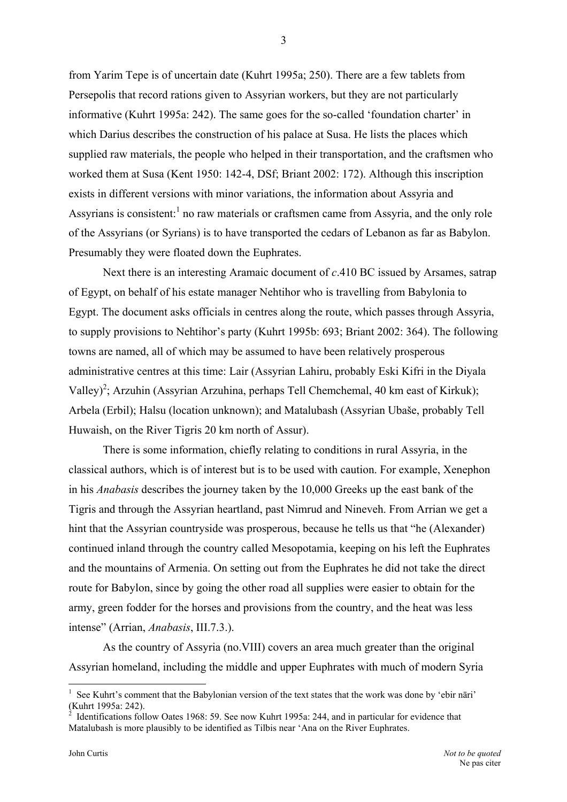from Yarim Tepe is of uncertain date (Kuhrt 1995a; 250). There are a few tablets from Persepolis that record rations given to Assyrian workers, but they are not particularly informative (Kuhrt 1995a: 242). The same goes for the so-called 'foundation charter' in which Darius describes the construction of his palace at Susa. He lists the places which supplied raw materials, the people who helped in their transportation, and the craftsmen who worked them at Susa (Kent 1950: 142-4, DSf; Briant 2002: 172). Although this inscription exists in different versions with minor variations, the information about Assyria and Assyrians is consistent: $<sup>1</sup>$  $<sup>1</sup>$  $<sup>1</sup>$  no raw materials or craftsmen came from Assyria, and the only role</sup> of the Assyrians (or Syrians) is to have transported the cedars of Lebanon as far as Babylon. Presumably they were floated down the Euphrates.

Next there is an interesting Aramaic document of *c*.410 BC issued by Arsames, satrap of Egypt, on behalf of his estate manager Nehtihor who is travelling from Babylonia to Egypt. The document asks officials in centres along the route, which passes through Assyria, to supply provisions to Nehtihor's party (Kuhrt 1995b: 693; Briant 2002: 364). The following towns are named, all of which may be assumed to have been relatively prosperous administrative centres at this time: Lair (Assyrian Lahiru, probably Eski Kifri in the Diyala Valley)<sup>[2](#page-2-1)</sup>; Arzuhin (Assyrian Arzuhina, perhaps Tell Chemchemal, 40 km east of Kirkuk); Arbela (Erbil); Halsu (location unknown); and Matalubash (Assyrian Ubaše, probably Tell Huwaish, on the River Tigris 20 km north of Assur).

There is some information, chiefly relating to conditions in rural Assyria, in the classical authors, which is of interest but is to be used with caution. For example, Xenephon in his *Anabasis* describes the journey taken by the 10,000 Greeks up the east bank of the Tigris and through the Assyrian heartland, past Nimrud and Nineveh. From Arrian we get a hint that the Assyrian countryside was prosperous, because he tells us that "he (Alexander) continued inland through the country called Mesopotamia, keeping on his left the Euphrates and the mountains of Armenia. On setting out from the Euphrates he did not take the direct route for Babylon, since by going the other road all supplies were easier to obtain for the army, green fodder for the horses and provisions from the country, and the heat was less intense" (Arrian, *Anabasis*, III.7.3.).

As the country of Assyria (no.VIII) covers an area much greater than the original Assyrian homeland, including the middle and upper Euphrates with much of modern Syria

<span id="page-2-0"></span><sup>1</sup> See Kuhrt's comment that the Babylonian version of the text states that the work was done by 'ebir nāri' (Kuhrt 1995a: 242).

<span id="page-2-1"></span>Identifications follow Oates 1968: 59. See now Kuhrt 1995a: 244, and in particular for evidence that Matalubash is more plausibly to be identified as Tilbis near 'Ana on the River Euphrates.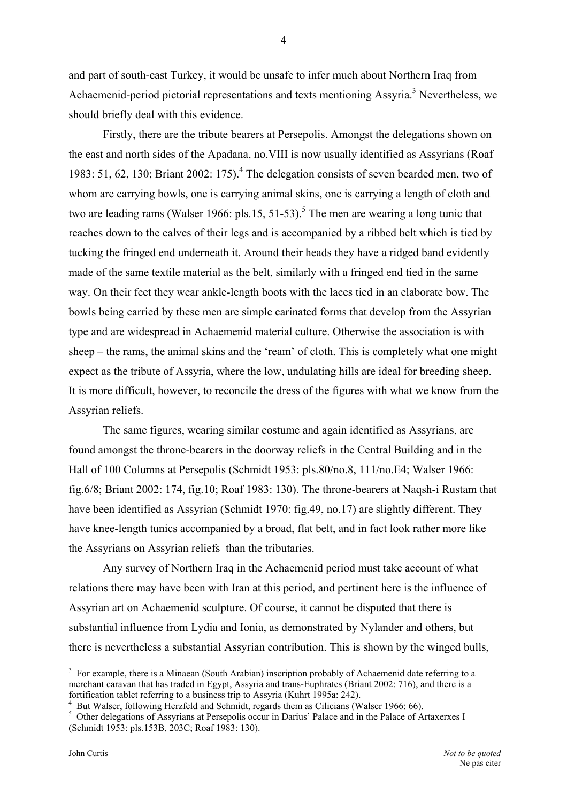and part of south-east Turkey, it would be unsafe to infer much about Northern Iraq from Achaemenid-period pictorial representations and texts mentioning Assyria.<sup>3</sup> Nevertheless, we should briefly deal with this evidence.

Firstly, there are the tribute bearers at Persepolis. Amongst the delegations shown on the east and north sides of the Apadana, no.VIII is now usually identified as Assyrians (Roaf 1983: 51, 62, 130; Briant 2002: 175).<sup>[4](#page-3-1)</sup> The delegation consists of seven bearded men, two of whom are carrying bowls, one is carrying animal skins, one is carrying a length of cloth and two are leading rams (Walser 1966: pls.1[5](#page-3-2), 51-53).<sup>5</sup> The men are wearing a long tunic that reaches down to the calves of their legs and is accompanied by a ribbed belt which is tied by tucking the fringed end underneath it. Around their heads they have a ridged band evidently made of the same textile material as the belt, similarly with a fringed end tied in the same way. On their feet they wear ankle-length boots with the laces tied in an elaborate bow. The bowls being carried by these men are simple carinated forms that develop from the Assyrian type and are widespread in Achaemenid material culture. Otherwise the association is with sheep – the rams, the animal skins and the 'ream' of cloth. This is completely what one might expect as the tribute of Assyria, where the low, undulating hills are ideal for breeding sheep. It is more difficult, however, to reconcile the dress of the figures with what we know from the Assyrian reliefs.

The same figures, wearing similar costume and again identified as Assyrians, are found amongst the throne-bearers in the doorway reliefs in the Central Building and in the Hall of 100 Columns at Persepolis (Schmidt 1953: pls.80/no.8, 111/no.E4; Walser 1966: fig.6/8; Briant 2002: 174, fig.10; Roaf 1983: 130). The throne-bearers at Naqsh-i Rustam that have been identified as Assyrian (Schmidt 1970: fig.49, no.17) are slightly different. They have knee-length tunics accompanied by a broad, flat belt, and in fact look rather more like the Assyrians on Assyrian reliefs than the tributaries.

Any survey of Northern Iraq in the Achaemenid period must take account of what relations there may have been with Iran at this period, and pertinent here is the influence of Assyrian art on Achaemenid sculpture. Of course, it cannot be disputed that there is substantial influence from Lydia and Ionia, as demonstrated by Nylander and others, but there is nevertheless a substantial Assyrian contribution. This is shown by the winged bulls,

4

<span id="page-3-0"></span><sup>&</sup>lt;sup>3</sup> For example, there is a Minaean (South Arabian) inscription probably of Achaemenid date referring to a merchant caravan that has traded in Egypt, Assyria and trans-Euphrates (Briant 2002: 716), and there is a fortification tablet referring to a business trip to Assyria (Kuhrt 1995a:  $242$ ).

<span id="page-3-1"></span>But Walser, following Herzfeld and Schmidt, regards them as Cilicians (Walser 1966: 66).

<span id="page-3-2"></span><sup>&</sup>lt;sup>5</sup> Other delegations of Assyrians at Persepolis occur in Darius' Palace and in the Palace of Artaxerxes I (Schmidt 1953: pls.153B, 203C; Roaf 1983: 130).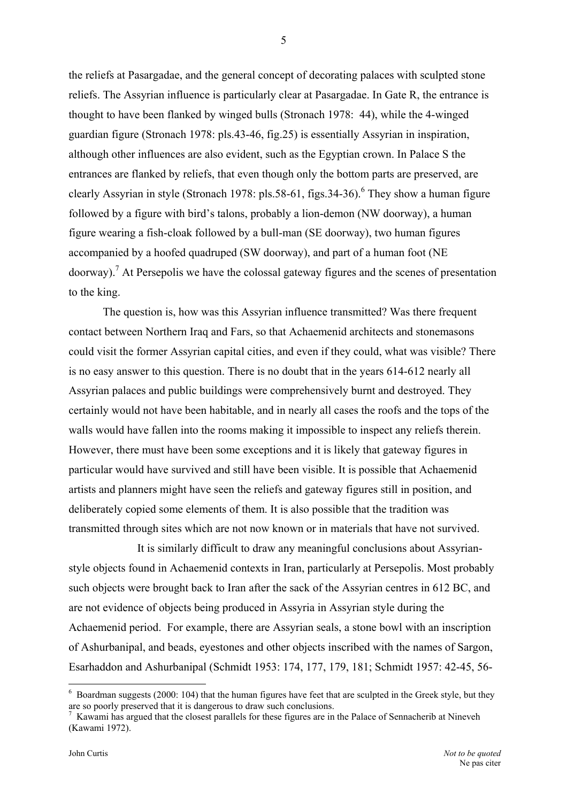the reliefs at Pasargadae, and the general concept of decorating palaces with sculpted stone reliefs. The Assyrian influence is particularly clear at Pasargadae. In Gate R, the entrance is thought to have been flanked by winged bulls (Stronach 1978: 44), while the 4-winged guardian figure (Stronach 1978: pls.43-46, fig.25) is essentially Assyrian in inspiration, although other influences are also evident, such as the Egyptian crown. In Palace S the entrances are flanked by reliefs, that even though only the bottom parts are preserved, are clearly Assyrian in style (Stronach 1978: pls.58-[6](#page-4-0)1, figs.34-36). <sup>6</sup> They show a human figure followed by a figure with bird's talons, probably a lion-demon (NW doorway), a human figure wearing a fish-cloak followed by a bull-man (SE doorway), two human figures accompanied by a hoofed quadruped (SW doorway), and part of a human foot (NE doorway).<sup>7</sup> At Persepolis we have the colossal gateway figures and the scenes of presentation to the king.

The question is, how was this Assyrian influence transmitted? Was there frequent contact between Northern Iraq and Fars, so that Achaemenid architects and stonemasons could visit the former Assyrian capital cities, and even if they could, what was visible? There is no easy answer to this question. There is no doubt that in the years 614-612 nearly all Assyrian palaces and public buildings were comprehensively burnt and destroyed. They certainly would not have been habitable, and in nearly all cases the roofs and the tops of the walls would have fallen into the rooms making it impossible to inspect any reliefs therein. However, there must have been some exceptions and it is likely that gateway figures in particular would have survived and still have been visible. It is possible that Achaemenid artists and planners might have seen the reliefs and gateway figures still in position, and deliberately copied some elements of them. It is also possible that the tradition was transmitted through sites which are not now known or in materials that have not survived.

It is similarly difficult to draw any meaningful conclusions about Assyrianstyle objects found in Achaemenid contexts in Iran, particularly at Persepolis. Most probably such objects were brought back to Iran after the sack of the Assyrian centres in 612 BC, and are not evidence of objects being produced in Assyria in Assyrian style during the Achaemenid period. For example, there are Assyrian seals, a stone bowl with an inscription of Ashurbanipal, and beads, eyestones and other objects inscribed with the names of Sargon, Esarhaddon and Ashurbanipal (Schmidt 1953: 174, 177, 179, 181; Schmidt 1957: 42-45, 56-

5

<span id="page-4-0"></span> $6$  Boardman suggests (2000: 104) that the human figures have feet that are sculpted in the Greek style, but they are so poorly preserved that it is dangerous to draw such conclusions. 7

<span id="page-4-1"></span> $\frac{7}{10}$  Kawami has argued that the closest parallels for these figures are in the Palace of Sennacherib at Nineveh (Kawami 1972).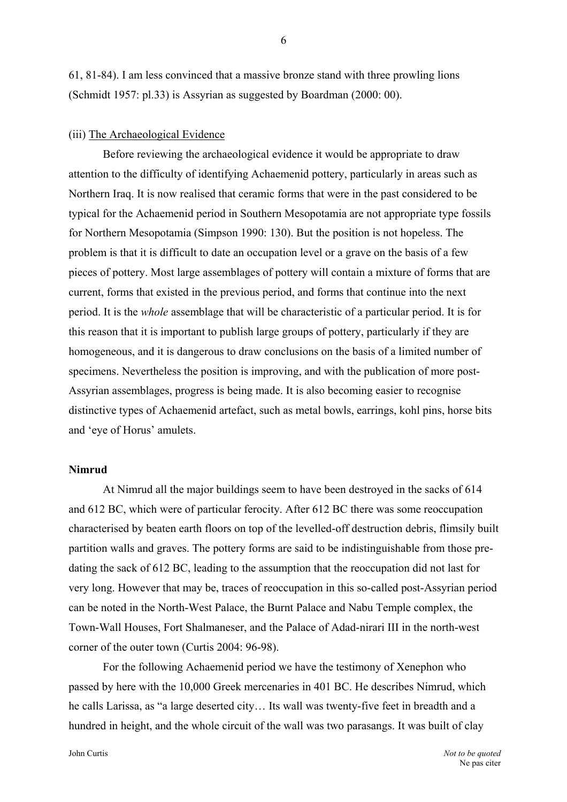61, 81-84). I am less convinced that a massive bronze stand with three prowling lions (Schmidt 1957: pl.33) is Assyrian as suggested by Boardman (2000: 00).

#### (iii) The Archaeological Evidence

Before reviewing the archaeological evidence it would be appropriate to draw attention to the difficulty of identifying Achaemenid pottery, particularly in areas such as Northern Iraq. It is now realised that ceramic forms that were in the past considered to be typical for the Achaemenid period in Southern Mesopotamia are not appropriate type fossils for Northern Mesopotamia (Simpson 1990: 130). But the position is not hopeless. The problem is that it is difficult to date an occupation level or a grave on the basis of a few pieces of pottery. Most large assemblages of pottery will contain a mixture of forms that are current, forms that existed in the previous period, and forms that continue into the next period. It is the *whole* assemblage that will be characteristic of a particular period. It is for this reason that it is important to publish large groups of pottery, particularly if they are homogeneous, and it is dangerous to draw conclusions on the basis of a limited number of specimens. Nevertheless the position is improving, and with the publication of more post-Assyrian assemblages, progress is being made. It is also becoming easier to recognise distinctive types of Achaemenid artefact, such as metal bowls, earrings, kohl pins, horse bits and 'eye of Horus' amulets.

#### **Nimrud**

At Nimrud all the major buildings seem to have been destroyed in the sacks of 614 and 612 BC, which were of particular ferocity. After 612 BC there was some reoccupation characterised by beaten earth floors on top of the levelled-off destruction debris, flimsily built partition walls and graves. The pottery forms are said to be indistinguishable from those predating the sack of 612 BC, leading to the assumption that the reoccupation did not last for very long. However that may be, traces of reoccupation in this so-called post-Assyrian period can be noted in the North-West Palace, the Burnt Palace and Nabu Temple complex, the Town-Wall Houses, Fort Shalmaneser, and the Palace of Adad-nirari III in the north-west corner of the outer town (Curtis 2004: 96-98).

For the following Achaemenid period we have the testimony of Xenephon who passed by here with the 10,000 Greek mercenaries in 401 BC. He describes Nimrud, which he calls Larissa, as "a large deserted city… Its wall was twenty-five feet in breadth and a hundred in height, and the whole circuit of the wall was two parasangs. It was built of clay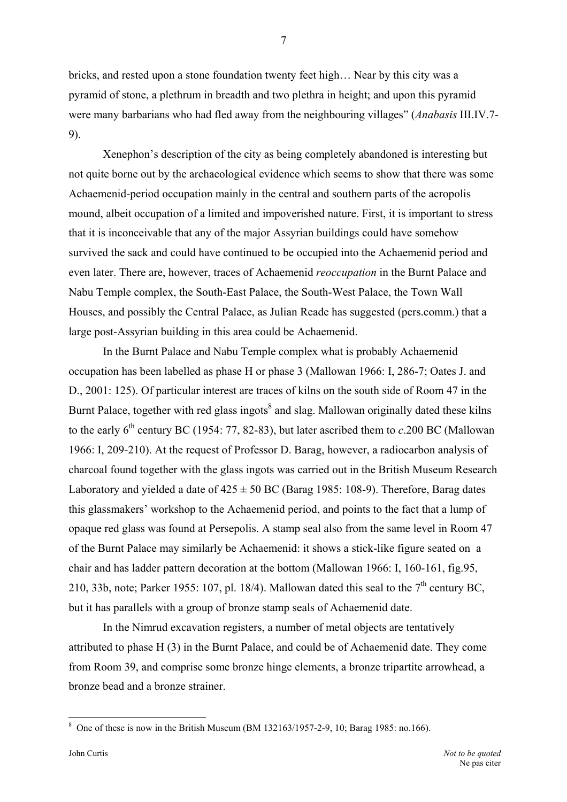bricks, and rested upon a stone foundation twenty feet high… Near by this city was a pyramid of stone, a plethrum in breadth and two plethra in height; and upon this pyramid were many barbarians who had fled away from the neighbouring villages" (*Anabasis* III.IV.7- 9).

Xenephon's description of the city as being completely abandoned is interesting but not quite borne out by the archaeological evidence which seems to show that there was some Achaemenid-period occupation mainly in the central and southern parts of the acropolis mound, albeit occupation of a limited and impoverished nature. First, it is important to stress that it is inconceivable that any of the major Assyrian buildings could have somehow survived the sack and could have continued to be occupied into the Achaemenid period and even later. There are, however, traces of Achaemenid *reoccupation* in the Burnt Palace and Nabu Temple complex, the South-East Palace, the South-West Palace, the Town Wall Houses, and possibly the Central Palace, as Julian Reade has suggested (pers.comm.) that a large post-Assyrian building in this area could be Achaemenid.

In the Burnt Palace and Nabu Temple complex what is probably Achaemenid occupation has been labelled as phase H or phase 3 (Mallowan 1966: I, 286-7; Oates J. and D., 2001: 125). Of particular interest are traces of kilns on the south side of Room 47 in the Burnt Palace, together with red glass ingots<sup>[8](#page-6-0)</sup> and slag. Mallowan originally dated these kilns to the early  $6<sup>th</sup>$  century BC (1954: 77, 82-83), but later ascribed them to *c*.200 BC (Mallowan 1966: I, 209-210). At the request of Professor D. Barag, however, a radiocarbon analysis of charcoal found together with the glass ingots was carried out in the British Museum Research Laboratory and yielded a date of  $425 \pm 50$  BC (Barag 1985: 108-9). Therefore, Barag dates this glassmakers' workshop to the Achaemenid period, and points to the fact that a lump of opaque red glass was found at Persepolis. A stamp seal also from the same level in Room 47 of the Burnt Palace may similarly be Achaemenid: it shows a stick-like figure seated on a chair and has ladder pattern decoration at the bottom (Mallowan 1966: I, 160-161, fig.95, 210, 33b, note; Parker 1955: 107, pl. 18/4). Mallowan dated this seal to the  $7<sup>th</sup>$  century BC, but it has parallels with a group of bronze stamp seals of Achaemenid date.

In the Nimrud excavation registers, a number of metal objects are tentatively attributed to phase H (3) in the Burnt Palace, and could be of Achaemenid date. They come from Room 39, and comprise some bronze hinge elements, a bronze tripartite arrowhead, a bronze bead and a bronze strainer.

<span id="page-6-0"></span><sup>&</sup>lt;sup>8</sup> One of these is now in the British Museum (BM 132163/1957-2-9, 10; Barag 1985: no.166).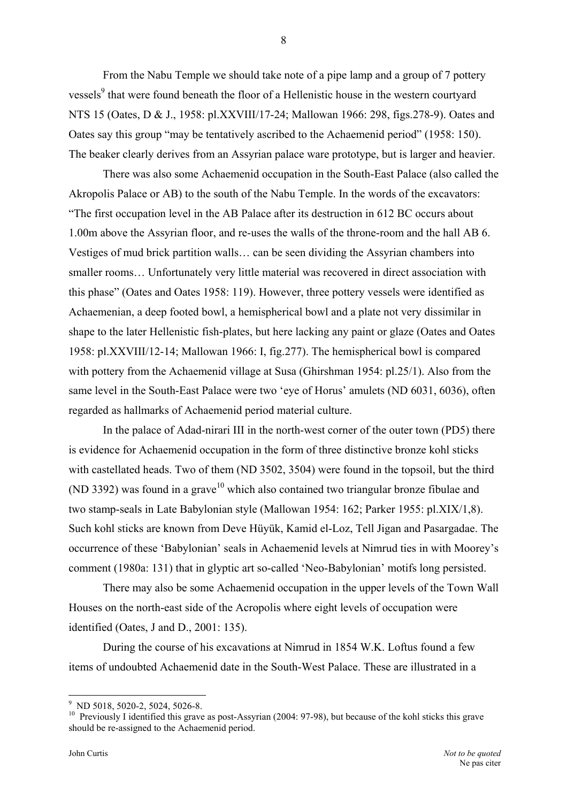From the Nabu Temple we should take note of a pipe lamp and a group of 7 pottery vessels<sup>9</sup> that were found beneath the floor of a Hellenistic house in the western courtyard NTS 15 (Oates, D & J., 1958: pl.XXVIII/17-24; Mallowan 1966: 298, figs.278-9). Oates and Oates say this group "may be tentatively ascribed to the Achaemenid period" (1958: 150). The beaker clearly derives from an Assyrian palace ware prototype, but is larger and heavier.

There was also some Achaemenid occupation in the South-East Palace (also called the Akropolis Palace or AB) to the south of the Nabu Temple. In the words of the excavators: "The first occupation level in the AB Palace after its destruction in 612 BC occurs about 1.00m above the Assyrian floor, and re-uses the walls of the throne-room and the hall AB 6. Vestiges of mud brick partition walls… can be seen dividing the Assyrian chambers into smaller rooms… Unfortunately very little material was recovered in direct association with this phase" (Oates and Oates 1958: 119). However, three pottery vessels were identified as Achaemenian, a deep footed bowl, a hemispherical bowl and a plate not very dissimilar in shape to the later Hellenistic fish-plates, but here lacking any paint or glaze (Oates and Oates 1958: pl.XXVIII/12-14; Mallowan 1966: I, fig.277). The hemispherical bowl is compared with pottery from the Achaemenid village at Susa (Ghirshman 1954: pl.25/1). Also from the same level in the South-East Palace were two 'eye of Horus' amulets (ND 6031, 6036), often regarded as hallmarks of Achaemenid period material culture.

In the palace of Adad-nirari III in the north-west corner of the outer town (PD5) there is evidence for Achaemenid occupation in the form of three distinctive bronze kohl sticks with castellated heads. Two of them (ND 3502, 3504) were found in the topsoil, but the third (ND 3392) was found in a grave<sup>10</sup> which also contained two triangular bronze fibulae and two stamp-seals in Late Babylonian style (Mallowan 1954: 162; Parker 1955: pl.XIX/1,8). Such kohl sticks are known from Deve Hüyük, Kamid el-Loz, Tell Jigan and Pasargadae. The occurrence of these 'Babylonian' seals in Achaemenid levels at Nimrud ties in with Moorey's comment (1980a: 131) that in glyptic art so-called 'Neo-Babylonian' motifs long persisted.

There may also be some Achaemenid occupation in the upper levels of the Town Wall Houses on the north-east side of the Acropolis where eight levels of occupation were identified (Oates, J and D., 2001: 135).

During the course of his excavations at Nimrud in 1854 W.K. Loftus found a few items of undoubted Achaemenid date in the South-West Palace. These are illustrated in a

 $\overline{a}$ 

<span id="page-7-0"></span><sup>&</sup>lt;sup>9</sup> ND 5018, 5020-2, 5024, 5026-8.

<span id="page-7-1"></span><sup>&</sup>lt;sup>10</sup> Previously I identified this grave as post-Assyrian (2004: 97-98), but because of the kohl sticks this grave should be re-assigned to the Achaemenid period.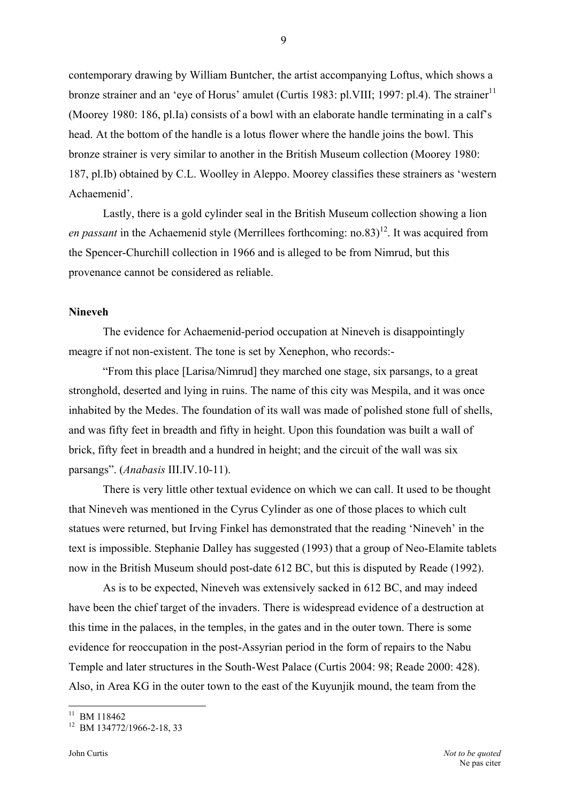contemporary drawing by William Buntcher, the artist accompanying Loftus, which shows a bronze strainer and an 'eye of Horus' amulet (Curtis 1983: pl.VIII; 1997: pl.4). The strainer<sup>[11](#page-8-0)</sup> (Moorey 1980: 186, pl.Ia) consists of a bowl with an elaborate handle terminating in a calf's head. At the bottom of the handle is a lotus flower where the handle joins the bowl. This bronze strainer is very similar to another in the British Museum collection (Moorey 1980: 187, pl.Ib) obtained by C.L. Woolley in Aleppo. Moorey classifies these strainers as 'western Achaemenid'.

Lastly, there is a gold cylinder seal in the British Museum collection showing a lion *en passant* in the Achaemenid style (Merrillees forthcoming: no.83)<sup>12</sup>. It was acquired from the Spencer-Churchill collection in 1966 and is alleged to be from Nimrud, but this provenance cannot be considered as reliable.

#### **Nineveh**

The evidence for Achaemenid-period occupation at Nineveh is disappointingly meagre if not non-existent. The tone is set by Xenephon, who records:-

"From this place [Larisa/Nimrud] they marched one stage, six parsangs, to a great stronghold, deserted and lying in ruins. The name of this city was Mespila, and it was once inhabited by the Medes. The foundation of its wall was made of polished stone full of shells, and was fifty feet in breadth and fifty in height. Upon this foundation was built a wall of brick, fifty feet in breadth and a hundred in height; and the circuit of the wall was six parsangs". (*Anabasis* III.IV.10-11).

There is very little other textual evidence on which we can call. It used to be thought that Nineveh was mentioned in the Cyrus Cylinder as one of those places to which cult statues were returned, but Irving Finkel has demonstrated that the reading 'Nineveh' in the text is impossible. Stephanie Dalley has suggested (1993) that a group of Neo-Elamite tablets now in the British Museum should post-date 612 BC, but this is disputed by Reade (1992).

As is to be expected, Nineveh was extensively sacked in 612 BC, and may indeed have been the chief target of the invaders. There is widespread evidence of a destruction at this time in the palaces, in the temples, in the gates and in the outer town. There is some evidence for reoccupation in the post-Assyrian period in the form of repairs to the Nabu Temple and later structures in the South-West Palace (Curtis 2004: 98; Reade 2000: 428). Also, in Area KG in the outer town to the east of the Kuyunjik mound, the team from the

<span id="page-8-0"></span> $11$  BM 118462

<span id="page-8-1"></span> $12$  BM 134772/1966-2-18, 33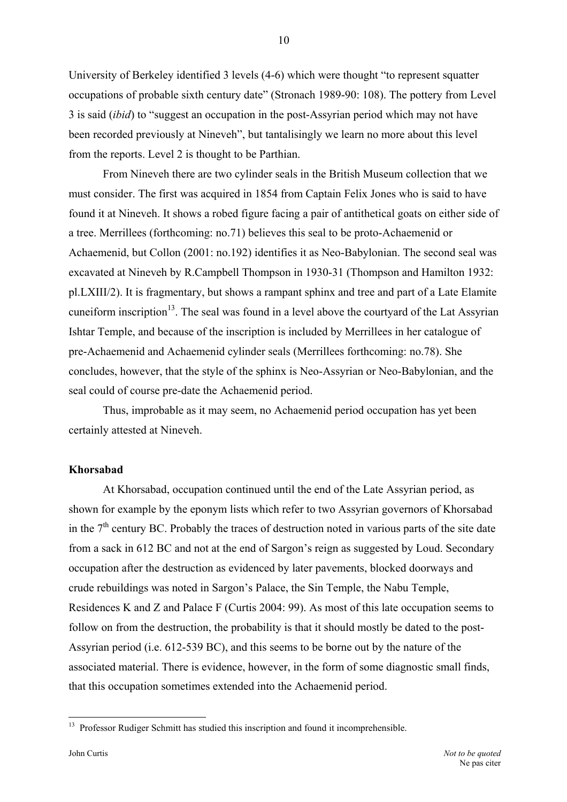University of Berkeley identified 3 levels (4-6) which were thought "to represent squatter occupations of probable sixth century date" (Stronach 1989-90: 108). The pottery from Level 3 is said (*ibid*) to "suggest an occupation in the post-Assyrian period which may not have been recorded previously at Nineveh", but tantalisingly we learn no more about this level from the reports. Level 2 is thought to be Parthian.

From Nineveh there are two cylinder seals in the British Museum collection that we must consider. The first was acquired in 1854 from Captain Felix Jones who is said to have found it at Nineveh. It shows a robed figure facing a pair of antithetical goats on either side of a tree. Merrillees (forthcoming: no.71) believes this seal to be proto-Achaemenid or Achaemenid, but Collon (2001: no.192) identifies it as Neo-Babylonian. The second seal was excavated at Nineveh by R.Campbell Thompson in 1930-31 (Thompson and Hamilton 1932: pl.LXIII/2). It is fragmentary, but shows a rampant sphinx and tree and part of a Late Elamite cuneiform inscription<sup>13</sup>. The seal was found in a level above the courtyard of the Lat Assyrian Ishtar Temple, and because of the inscription is included by Merrillees in her catalogue of pre-Achaemenid and Achaemenid cylinder seals (Merrillees forthcoming: no.78). She concludes, however, that the style of the sphinx is Neo-Assyrian or Neo-Babylonian, and the seal could of course pre-date the Achaemenid period.

Thus, improbable as it may seem, no Achaemenid period occupation has yet been certainly attested at Nineveh.

#### **Khorsabad**

At Khorsabad, occupation continued until the end of the Late Assyrian period, as shown for example by the eponym lists which refer to two Assyrian governors of Khorsabad in the  $7<sup>th</sup>$  century BC. Probably the traces of destruction noted in various parts of the site date from a sack in 612 BC and not at the end of Sargon's reign as suggested by Loud. Secondary occupation after the destruction as evidenced by later pavements, blocked doorways and crude rebuildings was noted in Sargon's Palace, the Sin Temple, the Nabu Temple, Residences K and Z and Palace F (Curtis 2004: 99). As most of this late occupation seems to follow on from the destruction, the probability is that it should mostly be dated to the post-Assyrian period (i.e. 612-539 BC), and this seems to be borne out by the nature of the associated material. There is evidence, however, in the form of some diagnostic small finds, that this occupation sometimes extended into the Achaemenid period.

<span id="page-9-0"></span><sup>&</sup>lt;sup>13</sup> Professor Rudiger Schmitt has studied this inscription and found it incomprehensible.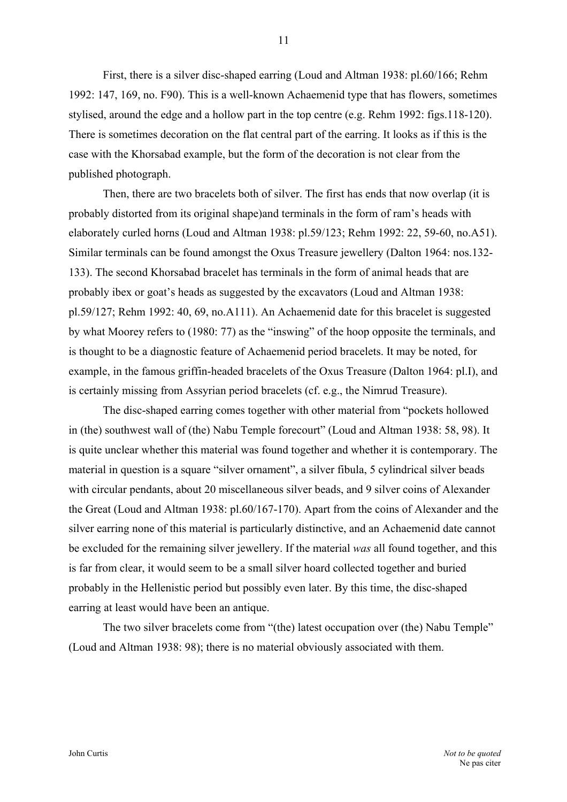First, there is a silver disc-shaped earring (Loud and Altman 1938: pl.60/166; Rehm 1992: 147, 169, no. F90). This is a well-known Achaemenid type that has flowers, sometimes stylised, around the edge and a hollow part in the top centre (e.g. Rehm 1992: figs.118-120). There is sometimes decoration on the flat central part of the earring. It looks as if this is the case with the Khorsabad example, but the form of the decoration is not clear from the published photograph.

Then, there are two bracelets both of silver. The first has ends that now overlap (it is probably distorted from its original shape)and terminals in the form of ram's heads with elaborately curled horns (Loud and Altman 1938: pl.59/123; Rehm 1992: 22, 59-60, no.A51). Similar terminals can be found amongst the Oxus Treasure jewellery (Dalton 1964: nos.132- 133). The second Khorsabad bracelet has terminals in the form of animal heads that are probably ibex or goat's heads as suggested by the excavators (Loud and Altman 1938: pl.59/127; Rehm 1992: 40, 69, no.A111). An Achaemenid date for this bracelet is suggested by what Moorey refers to (1980: 77) as the "inswing" of the hoop opposite the terminals, and is thought to be a diagnostic feature of Achaemenid period bracelets. It may be noted, for example, in the famous griffin-headed bracelets of the Oxus Treasure (Dalton 1964: pl.I), and is certainly missing from Assyrian period bracelets (cf. e.g., the Nimrud Treasure).

The disc-shaped earring comes together with other material from "pockets hollowed in (the) southwest wall of (the) Nabu Temple forecourt" (Loud and Altman 1938: 58, 98). It is quite unclear whether this material was found together and whether it is contemporary. The material in question is a square "silver ornament", a silver fibula, 5 cylindrical silver beads with circular pendants, about 20 miscellaneous silver beads, and 9 silver coins of Alexander the Great (Loud and Altman 1938: pl.60/167-170). Apart from the coins of Alexander and the silver earring none of this material is particularly distinctive, and an Achaemenid date cannot be excluded for the remaining silver jewellery. If the material *was* all found together, and this is far from clear, it would seem to be a small silver hoard collected together and buried probably in the Hellenistic period but possibly even later. By this time, the disc-shaped earring at least would have been an antique.

The two silver bracelets come from "(the) latest occupation over (the) Nabu Temple" (Loud and Altman 1938: 98); there is no material obviously associated with them.

John Curtis *Not to be quoted*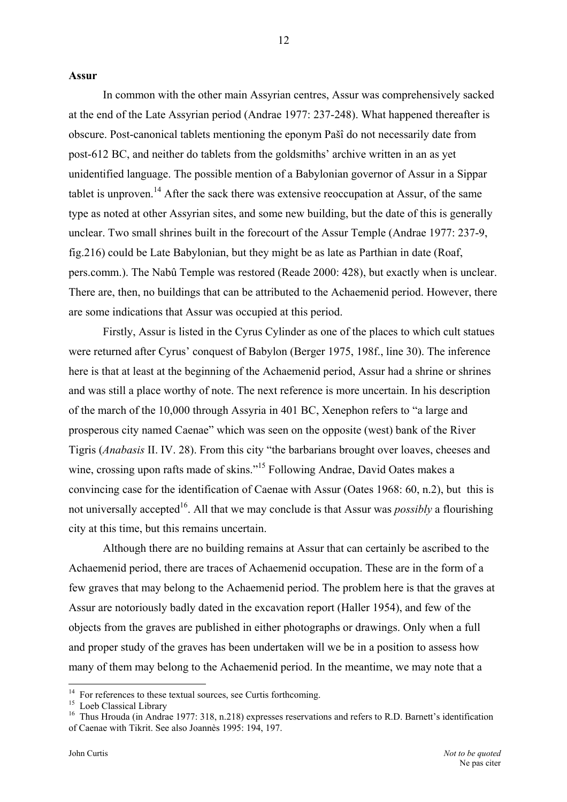#### **Assur**

In common with the other main Assyrian centres, Assur was comprehensively sacked at the end of the Late Assyrian period (Andrae 1977: 237-248). What happened thereafter is obscure. Post-canonical tablets mentioning the eponym Pašî do not necessarily date from post-612 BC, and neither do tablets from the goldsmiths' archive written in an as yet unidentified language. The possible mention of a Babylonian governor of Assur in a Sippar tablet is unproven.<sup>14</sup> After the sack there was extensive reoccupation at Assur, of the same type as noted at other Assyrian sites, and some new building, but the date of this is generally unclear. Two small shrines built in the forecourt of the Assur Temple (Andrae 1977: 237-9, fig.216) could be Late Babylonian, but they might be as late as Parthian in date (Roaf, pers.comm.). The Nabû Temple was restored (Reade 2000: 428), but exactly when is unclear. There are, then, no buildings that can be attributed to the Achaemenid period. However, there are some indications that Assur was occupied at this period.

Firstly, Assur is listed in the Cyrus Cylinder as one of the places to which cult statues were returned after Cyrus' conquest of Babylon (Berger 1975, 198f., line 30). The inference here is that at least at the beginning of the Achaemenid period, Assur had a shrine or shrines and was still a place worthy of note. The next reference is more uncertain. In his description of the march of the 10,000 through Assyria in 401 BC, Xenephon refers to "a large and prosperous city named Caenae" which was seen on the opposite (west) bank of the River Tigris (*Anabasis* II. IV. 28). From this city "the barbarians brought over loaves, cheeses and wine, crossing upon rafts made of skins."<sup>15</sup> Following Andrae, David Oates makes a convincing case for the identification of Caenae with Assur (Oates 1968: 60, n.2), but this is not universally accepted<sup>16</sup>. All that we may conclude is that Assur was *possibly* a flourishing city at this time, but this remains uncertain.

Although there are no building remains at Assur that can certainly be ascribed to the Achaemenid period, there are traces of Achaemenid occupation. These are in the form of a few graves that may belong to the Achaemenid period. The problem here is that the graves at Assur are notoriously badly dated in the excavation report (Haller 1954), and few of the objects from the graves are published in either photographs or drawings. Only when a full and proper study of the graves has been undertaken will we be in a position to assess how many of them may belong to the Achaemenid period. In the meantime, we may note that a

<span id="page-11-0"></span><sup>&</sup>lt;sup>14</sup> For references to these textual sources, see Curtis forthcoming.<br><sup>15</sup> Loeb Classical Library

<span id="page-11-2"></span><span id="page-11-1"></span>

<sup>&</sup>lt;sup>15</sup> Loeb Classical Library<br><sup>16</sup> Thus Hrouda (in Andrae 1977: 318, n.218) expresses reservations and refers to R.D. Barnett's identification of Caenae with Tikrit. See also Joannès 1995: 194, 197.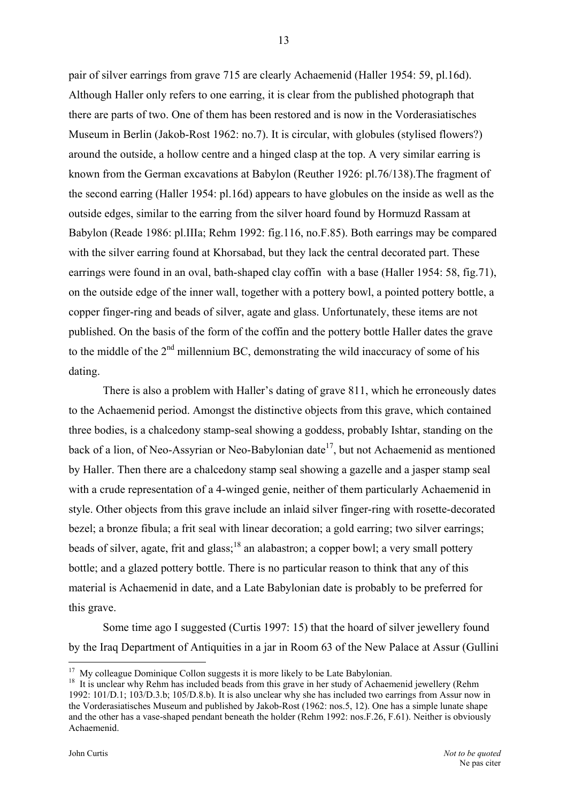pair of silver earrings from grave 715 are clearly Achaemenid (Haller 1954: 59, pl.16d). Although Haller only refers to one earring, it is clear from the published photograph that there are parts of two. One of them has been restored and is now in the Vorderasiatisches Museum in Berlin (Jakob-Rost 1962: no.7). It is circular, with globules (stylised flowers?) around the outside, a hollow centre and a hinged clasp at the top. A very similar earring is known from the German excavations at Babylon (Reuther 1926: pl.76/138).The fragment of the second earring (Haller 1954: pl.16d) appears to have globules on the inside as well as the outside edges, similar to the earring from the silver hoard found by Hormuzd Rassam at Babylon (Reade 1986: pl.IIIa; Rehm 1992: fig.116, no.F.85). Both earrings may be compared with the silver earring found at Khorsabad, but they lack the central decorated part. These earrings were found in an oval, bath-shaped clay coffin with a base (Haller 1954: 58, fig.71), on the outside edge of the inner wall, together with a pottery bowl, a pointed pottery bottle, a copper finger-ring and beads of silver, agate and glass. Unfortunately, these items are not published. On the basis of the form of the coffin and the pottery bottle Haller dates the grave to the middle of the  $2<sup>nd</sup>$  millennium BC, demonstrating the wild inaccuracy of some of his dating.

There is also a problem with Haller's dating of grave 811, which he erroneously dates to the Achaemenid period. Amongst the distinctive objects from this grave, which contained three bodies, is a chalcedony stamp-seal showing a goddess, probably Ishtar, standing on the back of a lion, of Neo-Assyrian or Neo-Babylonian date<sup>17</sup>, but not Achaemenid as mentioned by Haller. Then there are a chalcedony stamp seal showing a gazelle and a jasper stamp seal with a crude representation of a 4-winged genie, neither of them particularly Achaemenid in style. Other objects from this grave include an inlaid silver finger-ring with rosette-decorated bezel; a bronze fibula; a frit seal with linear decoration; a gold earring; two silver earrings; beads of silver, agate, frit and glass;<sup>18</sup> an alabastron; a copper bowl; a very small pottery bottle; and a glazed pottery bottle. There is no particular reason to think that any of this material is Achaemenid in date, and a Late Babylonian date is probably to be preferred for this grave.

Some time ago I suggested (Curtis 1997: 15) that the hoard of silver jewellery found by the Iraq Department of Antiquities in a jar in Room 63 of the New Palace at Assur (Gullini

<span id="page-12-1"></span><span id="page-12-0"></span>

<sup>&</sup>lt;sup>17</sup> My colleague Dominique Collon suggests it is more likely to be Late Babylonian.<br><sup>18</sup> It is unclear why Rehm has included beads from this grave in her study of Achaemenid jewellery (Rehm 1992: 101/D.1; 103/D.3.b; 105/D.8.b). It is also unclear why she has included two earrings from Assur now in the Vorderasiatisches Museum and published by Jakob-Rost (1962: nos.5, 12). One has a simple lunate shape and the other has a vase-shaped pendant beneath the holder (Rehm 1992: nos.F.26, F.61). Neither is obviously Achaemenid.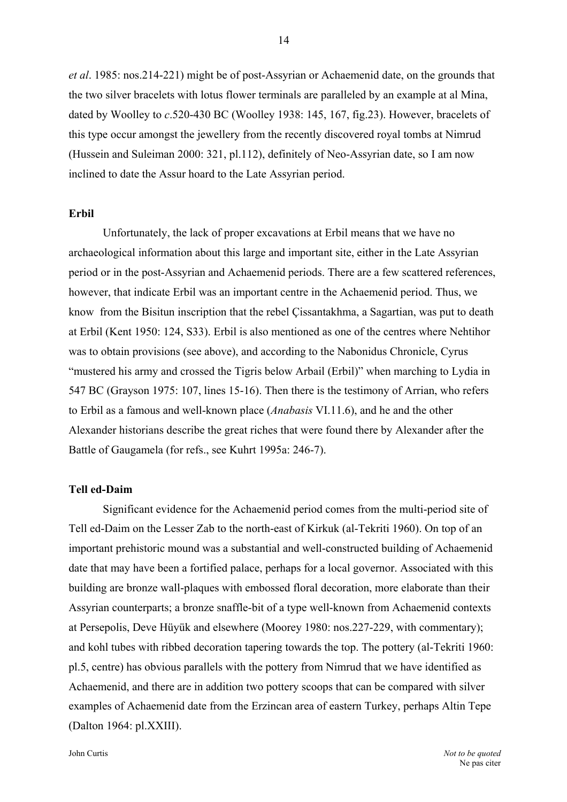*et al*. 1985: nos.214-221) might be of post-Assyrian or Achaemenid date, on the grounds that the two silver bracelets with lotus flower terminals are paralleled by an example at al Mina, dated by Woolley to *c*.520-430 BC (Woolley 1938: 145, 167, fig.23). However, bracelets of this type occur amongst the jewellery from the recently discovered royal tombs at Nimrud (Hussein and Suleiman 2000: 321, pl.112), definitely of Neo-Assyrian date, so I am now inclined to date the Assur hoard to the Late Assyrian period.

#### **Erbil**

Unfortunately, the lack of proper excavations at Erbil means that we have no archaeological information about this large and important site, either in the Late Assyrian period or in the post-Assyrian and Achaemenid periods. There are a few scattered references, however, that indicate Erbil was an important centre in the Achaemenid period. Thus, we know from the Bisitun inscription that the rebel Çissantakhma, a Sagartian, was put to death at Erbil (Kent 1950: 124, S33). Erbil is also mentioned as one of the centres where Nehtihor was to obtain provisions (see above), and according to the Nabonidus Chronicle, Cyrus "mustered his army and crossed the Tigris below Arbail (Erbil)" when marching to Lydia in 547 BC (Grayson 1975: 107, lines 15-16). Then there is the testimony of Arrian, who refers to Erbil as a famous and well-known place (*Anabasis* VI.11.6), and he and the other Alexander historians describe the great riches that were found there by Alexander after the Battle of Gaugamela (for refs., see Kuhrt 1995a: 246-7).

#### **Tell ed-Daim**

Significant evidence for the Achaemenid period comes from the multi-period site of Tell ed-Daim on the Lesser Zab to the north-east of Kirkuk (al-Tekriti 1960). On top of an important prehistoric mound was a substantial and well-constructed building of Achaemenid date that may have been a fortified palace, perhaps for a local governor. Associated with this building are bronze wall-plaques with embossed floral decoration, more elaborate than their Assyrian counterparts; a bronze snaffle-bit of a type well-known from Achaemenid contexts at Persepolis, Deve Hüyük and elsewhere (Moorey 1980: nos.227-229, with commentary); and kohl tubes with ribbed decoration tapering towards the top. The pottery (al-Tekriti 1960: pl.5, centre) has obvious parallels with the pottery from Nimrud that we have identified as Achaemenid, and there are in addition two pottery scoops that can be compared with silver examples of Achaemenid date from the Erzincan area of eastern Turkey, perhaps Altin Tepe (Dalton 1964: pl.XXIII).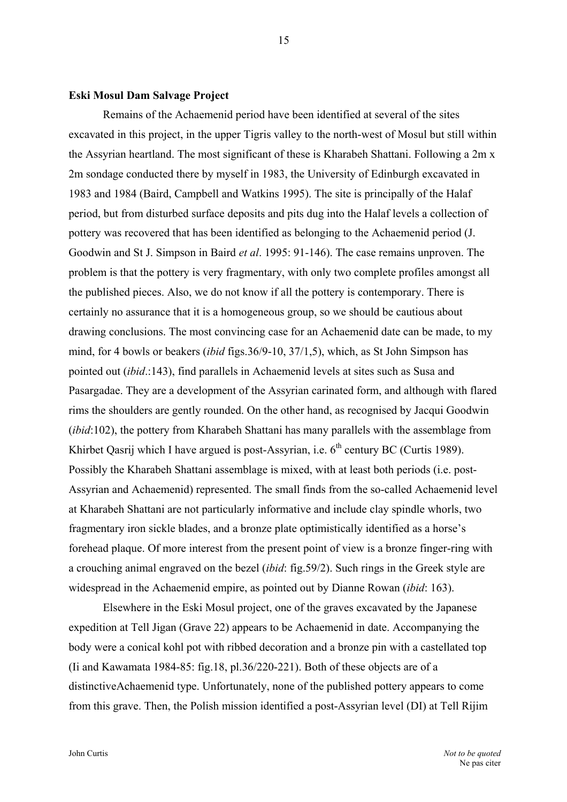#### **Eski Mosul Dam Salvage Project**

Remains of the Achaemenid period have been identified at several of the sites excavated in this project, in the upper Tigris valley to the north-west of Mosul but still within the Assyrian heartland. The most significant of these is Kharabeh Shattani. Following a 2m x 2m sondage conducted there by myself in 1983, the University of Edinburgh excavated in 1983 and 1984 (Baird, Campbell and Watkins 1995). The site is principally of the Halaf period, but from disturbed surface deposits and pits dug into the Halaf levels a collection of pottery was recovered that has been identified as belonging to the Achaemenid period (J. Goodwin and St J. Simpson in Baird *et al*. 1995: 91-146). The case remains unproven. The problem is that the pottery is very fragmentary, with only two complete profiles amongst all the published pieces. Also, we do not know if all the pottery is contemporary. There is certainly no assurance that it is a homogeneous group, so we should be cautious about drawing conclusions. The most convincing case for an Achaemenid date can be made, to my mind, for 4 bowls or beakers (*ibid* figs.36/9-10, 37/1,5), which, as St John Simpson has pointed out (*ibid*.:143), find parallels in Achaemenid levels at sites such as Susa and Pasargadae. They are a development of the Assyrian carinated form, and although with flared rims the shoulders are gently rounded. On the other hand, as recognised by Jacqui Goodwin (*ibid*:102), the pottery from Kharabeh Shattani has many parallels with the assemblage from Khirbet Qasrij which I have argued is post-Assyrian, i.e. 6<sup>th</sup> century BC (Curtis 1989). Possibly the Kharabeh Shattani assemblage is mixed, with at least both periods (i.e. post-Assyrian and Achaemenid) represented. The small finds from the so-called Achaemenid level at Kharabeh Shattani are not particularly informative and include clay spindle whorls, two fragmentary iron sickle blades, and a bronze plate optimistically identified as a horse's forehead plaque. Of more interest from the present point of view is a bronze finger-ring with a crouching animal engraved on the bezel (*ibid*: fig.59/2). Such rings in the Greek style are widespread in the Achaemenid empire, as pointed out by Dianne Rowan (*ibid*: 163).

Elsewhere in the Eski Mosul project, one of the graves excavated by the Japanese expedition at Tell Jigan (Grave 22) appears to be Achaemenid in date. Accompanying the body were a conical kohl pot with ribbed decoration and a bronze pin with a castellated top (Ii and Kawamata 1984-85: fig.18, pl.36/220-221). Both of these objects are of a distinctiveAchaemenid type. Unfortunately, none of the published pottery appears to come from this grave. Then, the Polish mission identified a post-Assyrian level (DI) at Tell Rijim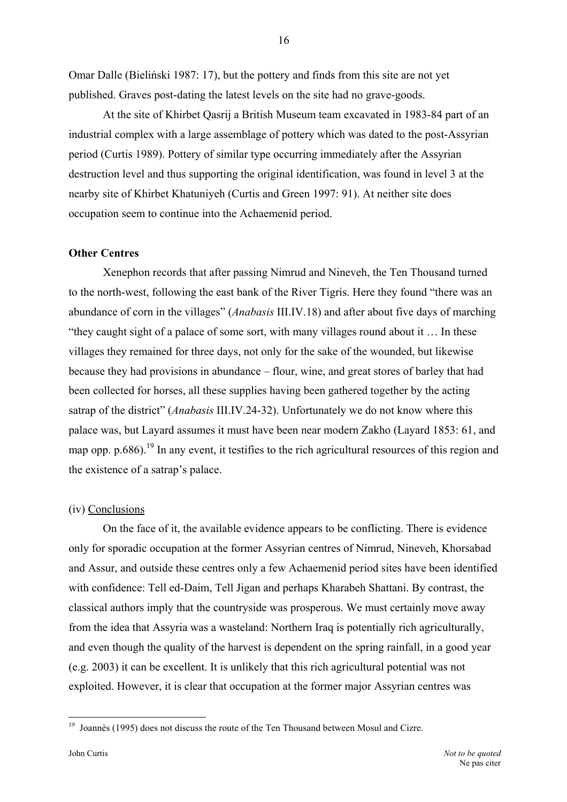Omar Dalle (Bieliński 1987: 17), but the pottery and finds from this site are not yet published. Graves post-dating the latest levels on the site had no grave-goods.

 At the site of Khirbet Qasrij a British Museum team excavated in 1983-84 part of an industrial complex with a large assemblage of pottery which was dated to the post-Assyrian period (Curtis 1989). Pottery of similar type occurring immediately after the Assyrian destruction level and thus supporting the original identification, was found in level 3 at the nearby site of Khirbet Khatuniyeh (Curtis and Green 1997: 91). At neither site does occupation seem to continue into the Achaemenid period.

#### **Other Centres**

Xenephon records that after passing Nimrud and Nineveh, the Ten Thousand turned to the north-west, following the east bank of the River Tigris. Here they found "there was an abundance of corn in the villages" (*Anabasis* III.IV.18) and after about five days of marching "they caught sight of a palace of some sort, with many villages round about it … In these villages they remained for three days, not only for the sake of the wounded, but likewise because they had provisions in abundance – flour, wine, and great stores of barley that had been collected for horses, all these supplies having been gathered together by the acting satrap of the district" (*Anabasis* III.IV.24-32). Unfortunately we do not know where this palace was, but Layard assumes it must have been near modern Zakho (Layard 1853: 61, and map opp. p.686).<sup>19</sup> In any event, it testifies to the rich agricultural resources of this region and the existence of a satrap's palace.

#### (iv) Conclusions

On the face of it, the available evidence appears to be conflicting. There is evidence only for sporadic occupation at the former Assyrian centres of Nimrud, Nineveh, Khorsabad and Assur, and outside these centres only a few Achaemenid period sites have been identified with confidence: Tell ed-Daim, Tell Jigan and perhaps Kharabeh Shattani. By contrast, the classical authors imply that the countryside was prosperous. We must certainly move away from the idea that Assyria was a wasteland: Northern Iraq is potentially rich agriculturally, and even though the quality of the harvest is dependent on the spring rainfall, in a good year (e.g. 2003) it can be excellent. It is unlikely that this rich agricultural potential was not exploited. However, it is clear that occupation at the former major Assyrian centres was

<span id="page-15-0"></span> $19$  Joannès (1995) does not discuss the route of the Ten Thousand between Mosul and Cizre.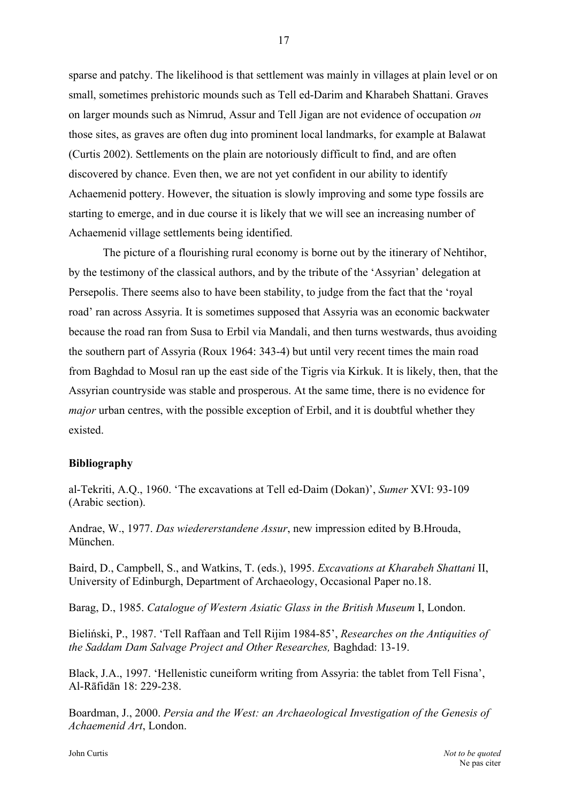sparse and patchy. The likelihood is that settlement was mainly in villages at plain level or on small, sometimes prehistoric mounds such as Tell ed-Darim and Kharabeh Shattani. Graves on larger mounds such as Nimrud, Assur and Tell Jigan are not evidence of occupation *on* those sites, as graves are often dug into prominent local landmarks, for example at Balawat (Curtis 2002). Settlements on the plain are notoriously difficult to find, and are often discovered by chance. Even then, we are not yet confident in our ability to identify Achaemenid pottery. However, the situation is slowly improving and some type fossils are starting to emerge, and in due course it is likely that we will see an increasing number of Achaemenid village settlements being identified.

The picture of a flourishing rural economy is borne out by the itinerary of Nehtihor, by the testimony of the classical authors, and by the tribute of the 'Assyrian' delegation at Persepolis. There seems also to have been stability, to judge from the fact that the 'royal road' ran across Assyria. It is sometimes supposed that Assyria was an economic backwater because the road ran from Susa to Erbil via Mandali, and then turns westwards, thus avoiding the southern part of Assyria (Roux 1964: 343-4) but until very recent times the main road from Baghdad to Mosul ran up the east side of the Tigris via Kirkuk. It is likely, then, that the Assyrian countryside was stable and prosperous. At the same time, there is no evidence for *major* urban centres, with the possible exception of Erbil, and it is doubtful whether they existed.

#### **Bibliography**

al-Tekriti, A.Q., 1960. 'The excavations at Tell ed-Daim (Dokan)', *Sumer* XVI: 93-109 (Arabic section).

Andrae, W., 1977. *Das wiedererstandene Assur*, new impression edited by B.Hrouda, München.

Baird, D., Campbell, S., and Watkins, T. (eds.), 1995. *Excavations at Kharabeh Shattani* II, University of Edinburgh, Department of Archaeology, Occasional Paper no.18.

Barag, D., 1985. *Catalogue of Western Asiatic Glass in the British Museum* I, London.

Bieliński, P., 1987. 'Tell Raffaan and Tell Rijim 1984-85', *Researches on the Antiquities of the Saddam Dam Salvage Project and Other Researches,* Baghdad: 13-19.

Black, J.A., 1997. 'Hellenistic cuneiform writing from Assyria: the tablet from Tell Fisna', Al-Rāfidān 18: 229-238.

Boardman, J., 2000. *Persia and the West: an Archaeological Investigation of the Genesis of Achaemenid Art*, London.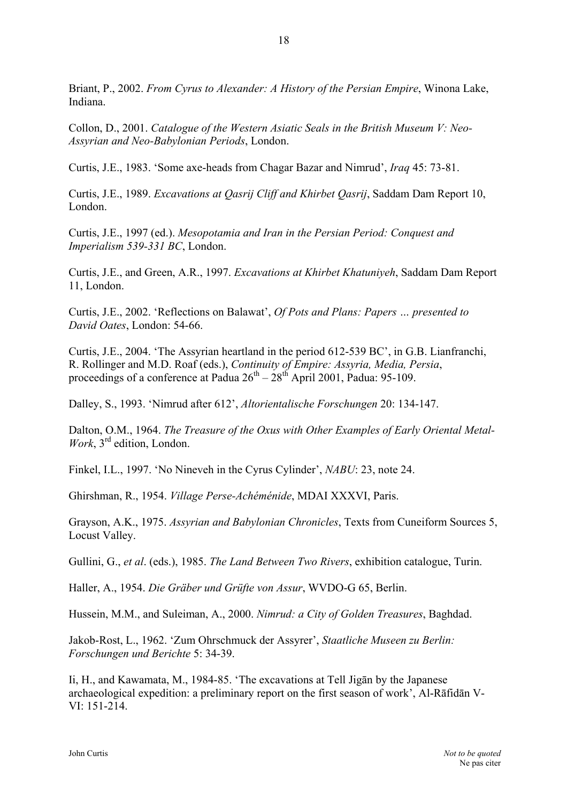Briant, P., 2002. *From Cyrus to Alexander: A History of the Persian Empire*, Winona Lake, Indiana.

Collon, D., 2001. *Catalogue of the Western Asiatic Seals in the British Museum V: Neo-Assyrian and Neo-Babylonian Periods*, London.

Curtis, J.E., 1983. 'Some axe-heads from Chagar Bazar and Nimrud', *Iraq* 45: 73-81.

Curtis, J.E., 1989. *Excavations at Qasrij Cliff and Khirbet Qasrij*, Saddam Dam Report 10, London.

Curtis, J.E., 1997 (ed.). *Mesopotamia and Iran in the Persian Period: Conquest and Imperialism 539-331 BC*, London.

Curtis, J.E., and Green, A.R., 1997. *Excavations at Khirbet Khatuniyeh*, Saddam Dam Report 11, London.

Curtis, J.E., 2002. 'Reflections on Balawat', *Of Pots and Plans: Papers … presented to David Oates*, London: 54-66.

Curtis, J.E., 2004. 'The Assyrian heartland in the period 612-539 BC', in G.B. Lianfranchi, R. Rollinger and M.D. Roaf (eds.), *Continuity of Empire: Assyria, Media, Persia*, proceedings of a conference at Padua  $26^{th} - 28^{th}$  April 2001, Padua: 95-109.

Dalley, S., 1993. 'Nimrud after 612', *Altorientalische Forschungen* 20: 134-147.

Dalton, O.M., 1964. *The Treasure of the Oxus with Other Examples of Early Oriental Metal-Work*, 3rd edition, London.

Finkel, I.L., 1997. 'No Nineveh in the Cyrus Cylinder', *NABU*: 23, note 24.

Ghirshman, R., 1954. *Village Perse-Achéménide*, MDAI XXXVI, Paris.

Grayson, A.K., 1975. *Assyrian and Babylonian Chronicles*, Texts from Cuneiform Sources 5, Locust Valley.

Gullini, G., *et al*. (eds.), 1985. *The Land Between Two Rivers*, exhibition catalogue, Turin.

Haller, A., 1954. *Die Gräber und Grüfte von Assur*, WVDO-G 65, Berlin.

Hussein, M.M., and Suleiman, A., 2000. *Nimrud: a City of Golden Treasures*, Baghdad.

Jakob-Rost, L., 1962. 'Zum Ohrschmuck der Assyrer', *Staatliche Museen zu Berlin: Forschungen und Berichte* 5: 34-39.

Ii, H., and Kawamata, M., 1984-85. 'The excavations at Tell Jigān by the Japanese archaeological expedition: a preliminary report on the first season of work', Al-Rāfidān V-VI: 151-214.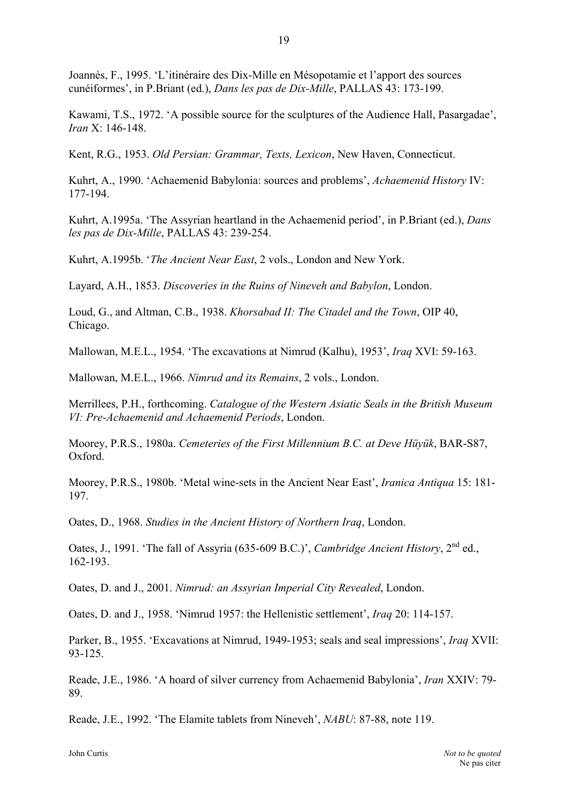Joannès, F., 1995. 'L'itinéraire des Dix-Mille en Mésopotamie et l'apport des sources cunéiformes', in P.Briant (ed.), *Dans les pas de Dix-Mille*, PALLAS 43: 173-199.

Kawami, T.S., 1972. 'A possible source for the sculptures of the Audience Hall, Pasargadae', *Iran* X: 146-148.

Kent, R.G., 1953. *Old Persian: Grammar, Texts, Lexicon*, New Haven, Connecticut.

Kuhrt, A., 1990. 'Achaemenid Babylonia: sources and problems', *Achaemenid History* IV: 177-194.

Kuhrt, A.1995a. 'The Assyrian heartland in the Achaemenid period', in P.Briant (ed.), *Dans les pas de Dix-Mille*, PALLAS 43: 239-254.

Kuhrt, A.1995b. '*The Ancient Near East*, 2 vols., London and New York.

Layard, A.H., 1853. *Discoveries in the Ruins of Nineveh and Babylon*, London.

Loud, G., and Altman, C.B., 1938. *Khorsabad II: The Citadel and the Town*, OIP 40, Chicago.

Mallowan, M.E.L., 1954. 'The excavations at Nimrud (Kalhu), 1953', *Iraq* XVI: 59-163.

Mallowan, M.E.L., 1966. *Nimrud and its Remains*, 2 vols., London.

Merrillees, P.H., forthcoming. *Catalogue of the Western Asiatic Seals in the British Museum VI: Pre-Achaemenid and Achaemenid Periods*, London.

Moorey, P.R.S., 1980a. *Cemeteries of the First Millennium B.C. at Deve Hüyük*, BAR-S87, Oxford.

Moorey, P.R.S., 1980b. 'Metal wine-sets in the Ancient Near East', *Iranica Antiqua* 15: 181- 197.

Oates, D., 1968. *Studies in the Ancient History of Northern Iraq*, London.

Oates, J., 1991. 'The fall of Assyria (635-609 B.C.)', *Cambridge Ancient History*, 2<sup>nd</sup> ed., 162-193.

Oates, D. and J., 2001. *Nimrud: an Assyrian Imperial City Revealed*, London.

Oates, D. and J., 1958. 'Nimrud 1957: the Hellenistic settlement', *Iraq* 20: 114-157.

Parker, B., 1955. 'Excavations at Nimrud, 1949-1953; seals and seal impressions', *Iraq* XVII: 93-125.

Reade, J.E., 1986. 'A hoard of silver currency from Achaemenid Babylonia', *Iran* XXIV: 79- 89.

Reade, J.E., 1992. 'The Elamite tablets from Nineveh', *NABU*: 87-88, note 119.